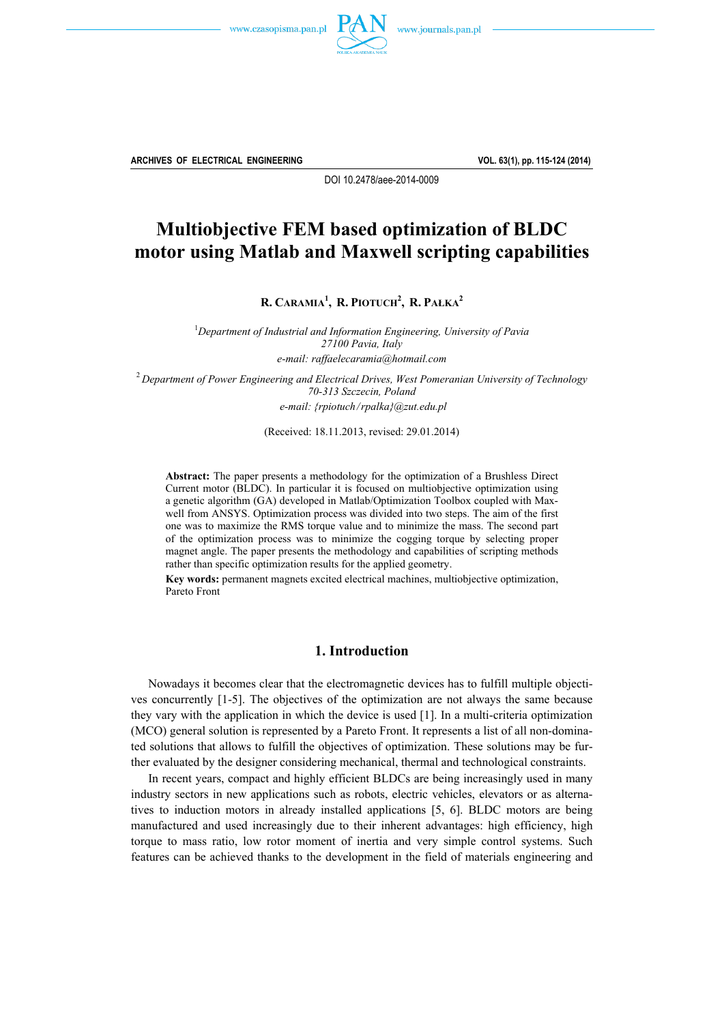



**ARCHIVES OF ELECTRICAL ENGINEERING VOL. 63(1), pp. 115-124 (2014)**

DOI 10.2478/aee-2014-0009

# **Multiobjective FEM based optimization of BLDC motor using Matlab and Maxwell scripting capabilities**

**R. CARAMIA1 , R. PIOTUCH2 , R. PAŁKA2** 

<sup>1</sup>Department of Industrial and Information Engineering, University of Pavia *27100 Pavia, Italy e-mail: raffaelecaramia@hotmail.com* 

<sup>2</sup>*Department of Power Engineering and Electrical Drives, West Pomeranian University of Technology 70-313 Szczecin, Poland e-mail: {rpiotuch/rpalka}@zut.edu.pl* 

(Received: 18.11.2013, revised: 29.01.2014)

**Abstract:** The paper presents a methodology for the optimization of a Brushless Direct Current motor (BLDC). In particular it is focused on multiobjective optimization using a genetic algorithm (GA) developed in Matlab/Optimization Toolbox coupled with Maxwell from ANSYS. Optimization process was divided into two steps. The aim of the first one was to maximize the RMS torque value and to minimize the mass. The second part of the optimization process was to minimize the cogging torque by selecting proper magnet angle. The paper presents the methodology and capabilities of scripting methods rather than specific optimization results for the applied geometry.

**Key words:** permanent magnets excited electrical machines, multiobjective optimization, Pareto Front

## **1. Introduction**

 Nowadays it becomes clear that the electromagnetic devices has to fulfill multiple objectives concurrently [1-5]. The objectives of the optimization are not always the same because they vary with the application in which the device is used [1]. In a multi-criteria optimization (MCO) general solution is represented by a Pareto Front. It represents a list of all non-dominated solutions that allows to fulfill the objectives of optimization. These solutions may be further evaluated by the designer considering mechanical, thermal and technological constraints.

 In recent years, compact and highly efficient BLDCs are being increasingly used in many industry sectors in new applications such as robots, electric vehicles, elevators or as alternatives to induction motors in already installed applications [5, 6]. BLDC motors are being manufactured and used increasingly due to their inherent advantages: high efficiency, high torque to mass ratio, low rotor moment of inertia and very simple control systems. Such features can be achieved thanks to the development in the field of materials engineering and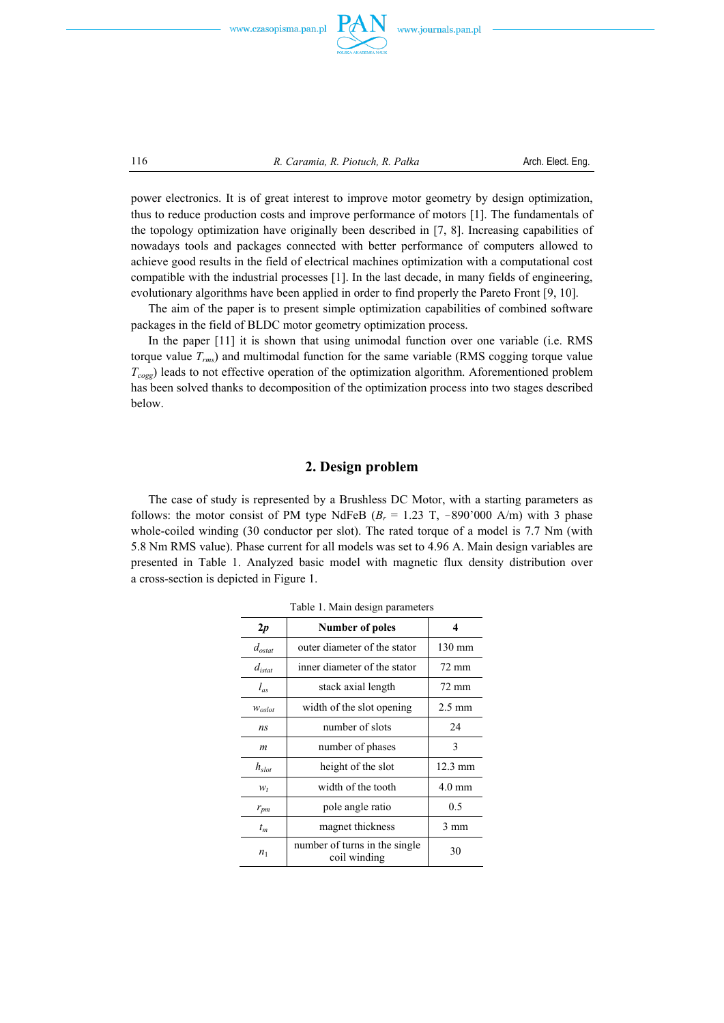



116 *R. Caramia, R. Piotuch, R. Pałka* Arch. Elect. Eng.

power electronics. It is of great interest to improve motor geometry by design optimization, thus to reduce production costs and improve performance of motors [1]. The fundamentals of the topology optimization have originally been described in [7, 8]. Increasing capabilities of nowadays tools and packages connected with better performance of computers allowed to achieve good results in the field of electrical machines optimization with a computational cost compatible with the industrial processes [1]. In the last decade, in many fields of engineering, evolutionary algorithms have been applied in order to find properly the Pareto Front [9, 10].

 The aim of the paper is to present simple optimization capabilities of combined software packages in the field of BLDC motor geometry optimization process.

 In the paper [11] it is shown that using unimodal function over one variable (i.e. RMS torque value *Trms*) and multimodal function for the same variable (RMS cogging torque value *Tcogg*) leads to not effective operation of the optimization algorithm. Aforementioned problem has been solved thanks to decomposition of the optimization process into two stages described below.

### **2. Design problem**

 The case of study is represented by a Brushless DC Motor, with a starting parameters as follows: the motor consist of PM type NdFeB ( $B_r = 1.23$  T,  $-890'000$  A/m) with 3 phase whole-coiled winding (30 conductor per slot). The rated torque of a model is 7.7 Nm (with 5.8 Nm RMS value). Phase current for all models was set to 4.96 A. Main design variables are presented in Table 1. Analyzed basic model with magnetic flux density distribution over a cross-section is depicted in Figure 1.

| raoig r. iviam ugsign parameters |                                               |                   |  |  |  |
|----------------------------------|-----------------------------------------------|-------------------|--|--|--|
| $_{2p}$                          | Number of poles                               | 4                 |  |  |  |
| $d_{\text{ostat}}$               | outer diameter of the stator                  | 130 mm            |  |  |  |
| $d_{\text{istat}}$               | inner diameter of the stator                  | 72 mm             |  |  |  |
| $l_{as}$                         | stack axial length                            | 72 mm             |  |  |  |
| $W_{oslot}$                      | width of the slot opening                     | $2.5 \text{ mm}$  |  |  |  |
| n <sub>S</sub>                   | number of slots                               | 24                |  |  |  |
| m                                | number of phases                              | 3                 |  |  |  |
| $h_{slot}$                       | height of the slot                            | $12.3 \text{ mm}$ |  |  |  |
| $W_t$                            | width of the tooth                            | $4.0 \text{ mm}$  |  |  |  |
| $r_{pm}$                         | pole angle ratio                              | 0.5               |  |  |  |
| $t_m$                            | magnet thickness                              | 3 mm              |  |  |  |
| n <sub>1</sub>                   | number of turns in the single<br>coil winding | 30                |  |  |  |

Table 1. Main design parameters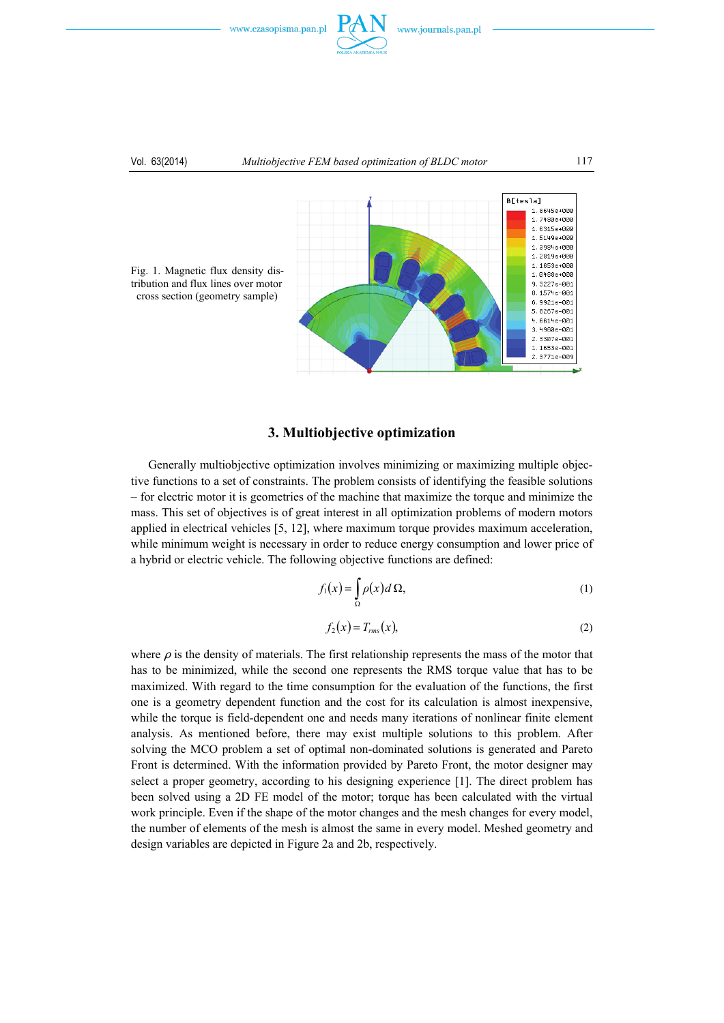

#### Vol. 63(2014) *Multiobjective FEM based optimization of BLDC motor* 117



Fig. 1. Magnetic flux density distribution and flux lines over motor cross section (geometry sample)

## **3. Multiobjective optimization**

 Generally multiobjective optimization involves minimizing or maximizing multiple objective functions to a set of constraints. The problem consists of identifying the feasible solutions – for electric motor it is geometries of the machine that maximize the torque and minimize the mass. This set of objectives is of great interest in all optimization problems of modern motors applied in electrical vehicles [5, 12], where maximum torque provides maximum acceleration, while minimum weight is necessary in order to reduce energy consumption and lower price of a hybrid or electric vehicle. The following objective functions are defined:

$$
f_1(x) = \int_{\Omega} \rho(x) d\Omega,
$$
 (1)

$$
f_2(x) = T_{rms}(x),\tag{2}
$$

where  $\rho$  is the density of materials. The first relationship represents the mass of the motor that has to be minimized, while the second one represents the RMS torque value that has to be maximized. With regard to the time consumption for the evaluation of the functions, the first one is a geometry dependent function and the cost for its calculation is almost inexpensive, while the torque is field-dependent one and needs many iterations of nonlinear finite element analysis. As mentioned before, there may exist multiple solutions to this problem. After solving the MCO problem a set of optimal non-dominated solutions is generated and Pareto Front is determined. With the information provided by Pareto Front, the motor designer may select a proper geometry, according to his designing experience [1]. The direct problem has been solved using a 2D FE model of the motor; torque has been calculated with the virtual work principle. Even if the shape of the motor changes and the mesh changes for every model, the number of elements of the mesh is almost the same in every model. Meshed geometry and design variables are depicted in Figure 2a and 2b, respectively.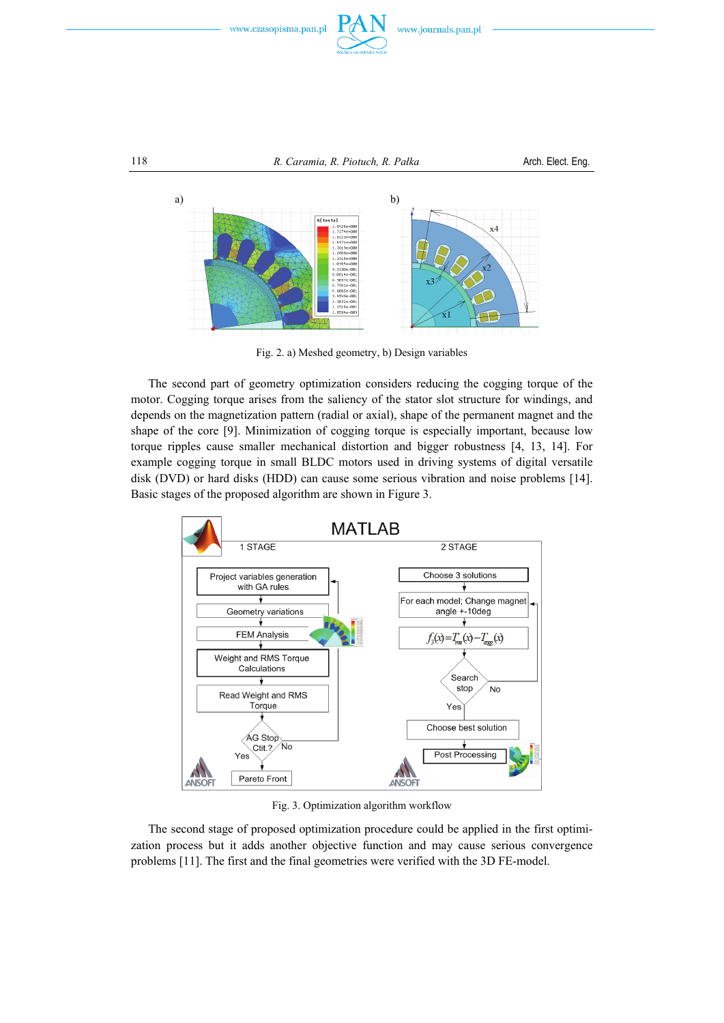



Fig. 2. a) Meshed geometry, b) Design variables

 The second part of geometry optimization considers reducing the cogging torque of the motor. Cogging torque arises from the saliency of the stator slot structure for windings, and depends on the magnetization pattern (radial or axial), shape of the permanent magnet and the shape of the core [9]. Minimization of cogging torque is especially important, because low torque ripples cause smaller mechanical distortion and bigger robustness [4, 13, 14]. For example cogging torque in small BLDC motors used in driving systems of digital versatile disk (DVD) or hard disks (HDD) can cause some serious vibration and noise problems [14]. Basic stages of the proposed algorithm are shown in Figure 3.



Fig. 3. Optimization algorithm workflow

 The second stage of proposed optimization procedure could be applied in the first optimization process but it adds another objective function and may cause serious convergence problems [11]. The first and the final geometries were verified with the 3D FE-model.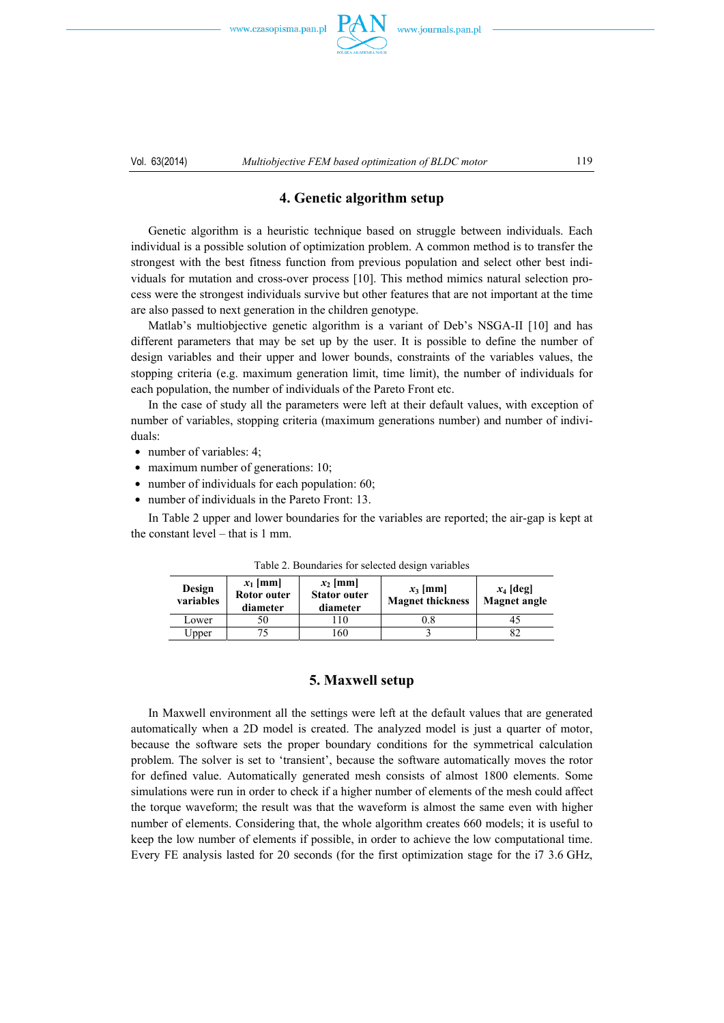www.czasopisma.pan.pl



## **4. Genetic algorithm setup**

 Genetic algorithm is a heuristic technique based on struggle between individuals. Each individual is a possible solution of optimization problem. A common method is to transfer the strongest with the best fitness function from previous population and select other best individuals for mutation and cross-over process [10]. This method mimics natural selection process were the strongest individuals survive but other features that are not important at the time are also passed to next generation in the children genotype.

 Matlab's multiobjective genetic algorithm is a variant of Deb's NSGA-II [10] and has different parameters that may be set up by the user. It is possible to define the number of design variables and their upper and lower bounds, constraints of the variables values, the stopping criteria (e.g. maximum generation limit, time limit), the number of individuals for each population, the number of individuals of the Pareto Front etc.

 In the case of study all the parameters were left at their default values, with exception of number of variables, stopping criteria (maximum generations number) and number of individuals:

- $\bullet$  number of variables: 4;
- $\bullet$  maximum number of generations: 10;
- $\bullet$  number of individuals for each population: 60;
- number of individuals in the Pareto Front: 13.

 In Table 2 upper and lower boundaries for the variables are reported; the air-gap is kept at the constant level – that is 1 mm.

| Design<br>variables | $x_1$ [mm]<br>Rotor outer<br>diameter | $x_2$ [mm]<br><b>Stator outer</b><br>diameter | $x_3$ [mm]<br><b>Magnet thickness</b> | $x_4$ [deg]<br><b>Magnet angle</b> |  |
|---------------------|---------------------------------------|-----------------------------------------------|---------------------------------------|------------------------------------|--|
| Lower               | 50                                    | $\overline{10}$                               | $^{0.8}$                              | 45                                 |  |
| Upper               | 75                                    | -60                                           |                                       | 82                                 |  |

Table 2. Boundaries for selected design variables

#### **5. Maxwell setup**

 In Maxwell environment all the settings were left at the default values that are generated automatically when a 2D model is created. The analyzed model is just a quarter of motor, because the software sets the proper boundary conditions for the symmetrical calculation problem. The solver is set to 'transient', because the software automatically moves the rotor for defined value. Automatically generated mesh consists of almost 1800 elements. Some simulations were run in order to check if a higher number of elements of the mesh could affect the torque waveform; the result was that the waveform is almost the same even with higher number of elements. Considering that, the whole algorithm creates 660 models; it is useful to keep the low number of elements if possible, in order to achieve the low computational time. Every FE analysis lasted for 20 seconds (for the first optimization stage for the i7 3.6 GHz,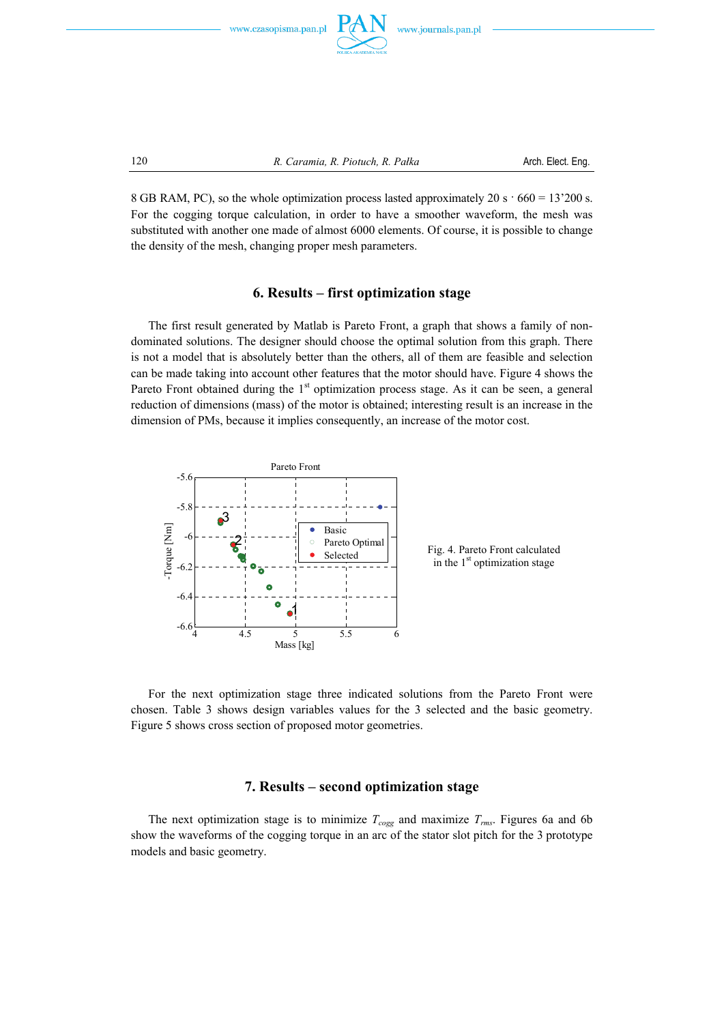





120 *R. Caramia, R. Piotuch, R. Pałka* Arch. Elect. Eng.

8 GB RAM, PC), so the whole optimization process lasted approximately 20 s  $\cdot$  660 = 13'200 s. For the cogging torque calculation, in order to have a smoother waveform, the mesh was substituted with another one made of almost 6000 elements. Of course, it is possible to change the density of the mesh, changing proper mesh parameters.

## **6. Results – first optimization stage**

 The first result generated by Matlab is Pareto Front, a graph that shows a family of nondominated solutions. The designer should choose the optimal solution from this graph. There is not a model that is absolutely better than the others, all of them are feasible and selection can be made taking into account other features that the motor should have. Figure 4 shows the Pareto Front obtained during the  $1<sup>st</sup>$  optimization process stage. As it can be seen, a general reduction of dimensions (mass) of the motor is obtained; interesting result is an increase in the dimension of PMs, because it implies consequently, an increase of the motor cost.



 For the next optimization stage three indicated solutions from the Pareto Front were chosen. Table 3 shows design variables values for the 3 selected and the basic geometry. Figure 5 shows cross section of proposed motor geometries.

#### **7. Results – second optimization stage**

The next optimization stage is to minimize  $T_{cogg}$  and maximize  $T_{rms}$ . Figures 6a and 6b show the waveforms of the cogging torque in an arc of the stator slot pitch for the 3 prototype models and basic geometry.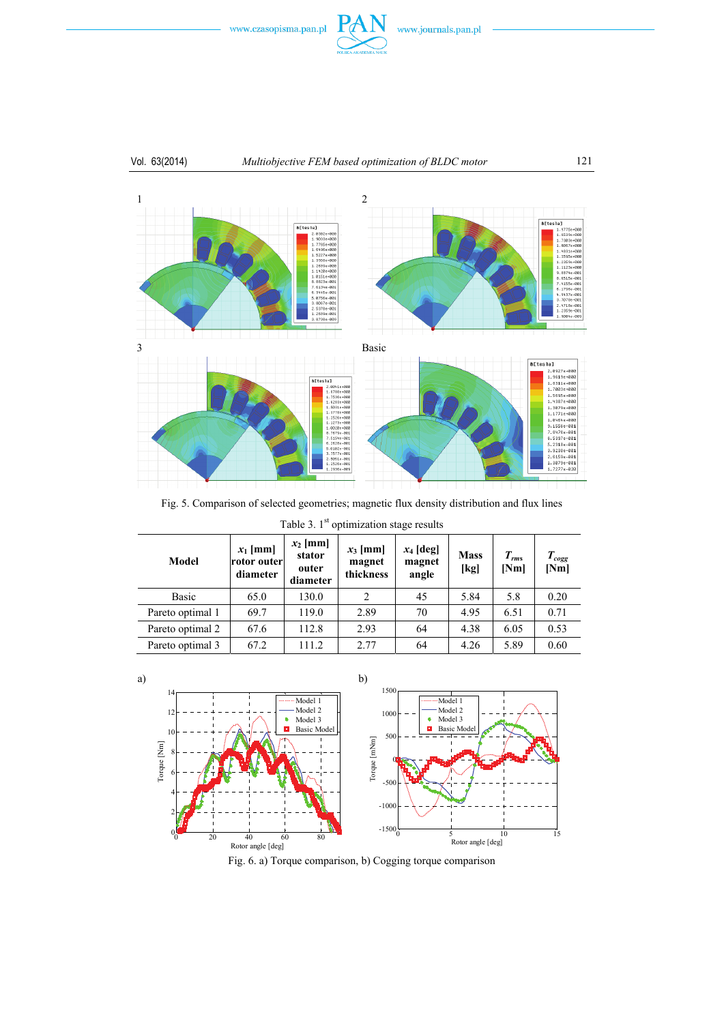

# Vol. 63(2014) *Multiobjective FEM based optimization of BLDC motor* 121



Fig. 5. Comparison of selected geometries; magnetic flux density distribution and flux lines

Table 3.  $1<sup>st</sup>$  optimization stage results

| Model            | $x_1$ [mm]<br><b>rotor</b> outer<br>diameter | $x_2$ [mm]<br>stator<br>outer<br>diameter | $x_3$ [mm]<br>magnet<br>thickness | $x_4$ [deg]<br>magnet<br>angle | <b>Mass</b><br>[kg] | $T_{rms}$<br>[Nm] | $T_{cogg}$<br>[Nm] |
|------------------|----------------------------------------------|-------------------------------------------|-----------------------------------|--------------------------------|---------------------|-------------------|--------------------|
| Basic            | 65.0                                         | 130.0                                     | $\overline{c}$                    | 45                             | 5.84                | 5.8               | 0.20               |
| Pareto optimal 1 | 69.7                                         | 119.0                                     | 2.89                              | 70                             | 4.95                | 6.51              | 0.71               |
| Pareto optimal 2 | 67.6                                         | 112.8                                     | 2.93                              | 64                             | 4.38                | 6.05              | 0.53               |
| Pareto optimal 3 | 67.2                                         | 111.2                                     | 2.77                              | 64                             | 4.26                | 5.89              | 0.60               |



a)

Fig. 6. a) Torque comparison, b) Cogging torque comparison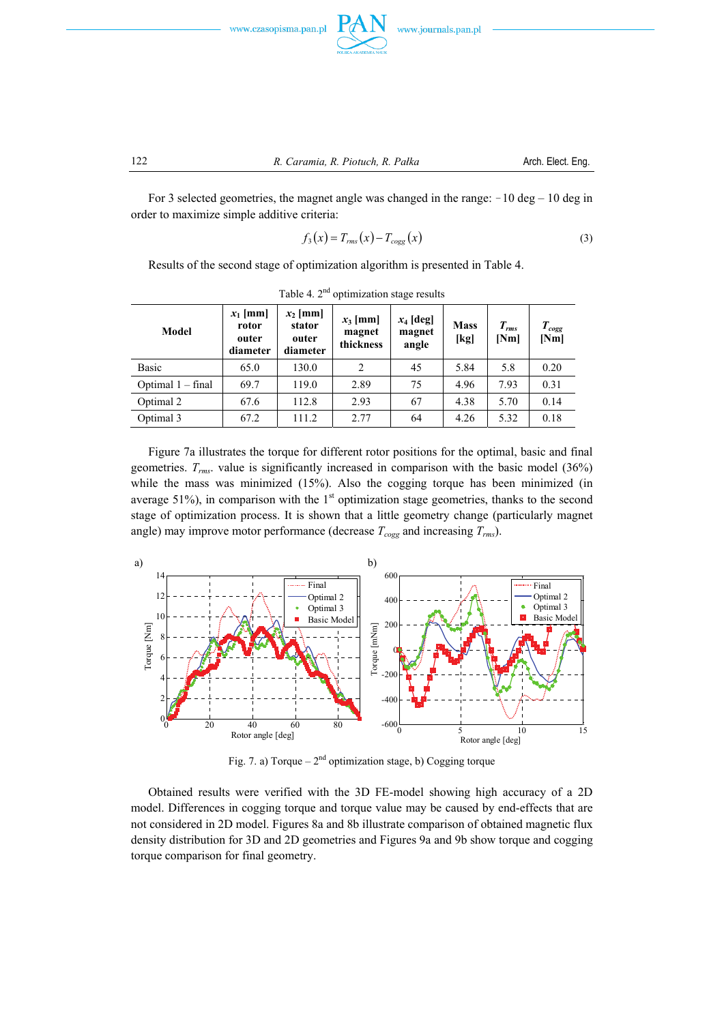



For 3 selected geometries, the magnet angle was changed in the range:  $-10 \text{ deg} - 10 \text{ deg}$  in order to maximize simple additive criteria:

$$
f_3(x) = T_{rms}(x) - T_{cogg}(x) \tag{3}
$$

Results of the second stage of optimization algorithm is presented in Table 4.

| Model             | $x_1$ [mm]<br>rotor<br>outer<br>diameter | $x_2$ [mm]<br>stator<br>outer<br>diameter | $x_3$ [mm]<br>magnet<br>thickness | $x_4$ [deg]<br>magnet<br>angle | <b>Mass</b><br>[kg] | $T_{rms}$<br>[Nm] | $T_{cogg}$<br>[Nm] |
|-------------------|------------------------------------------|-------------------------------------------|-----------------------------------|--------------------------------|---------------------|-------------------|--------------------|
| <b>Basic</b>      | 65.0                                     | 130.0                                     | $\overline{c}$                    | 45                             | 5.84                | 5.8               | 0.20               |
| Optimal 1 – final | 69.7                                     | 119.0                                     | 2.89                              | 75                             | 4.96                | 7.93              | 0.31               |
| Optimal 2         | 67.6                                     | 112.8                                     | 2.93                              | 67                             | 4.38                | 5.70              | 0.14               |
| Optimal 3         | 67.2                                     | 111.2                                     | 2.77                              | 64                             | 4.26                | 5.32              | 0.18               |

Table 4.  $2<sup>nd</sup>$  optimization stage results

 Figure 7a illustrates the torque for different rotor positions for the optimal, basic and final geometries. *Trms*. value is significantly increased in comparison with the basic model (36%) while the mass was minimized (15%). Also the cogging torque has been minimized (in average 51%), in comparison with the  $1<sup>st</sup>$  optimization stage geometries, thanks to the second stage of optimization process. It is shown that a little geometry change (particularly magnet angle) may improve motor performance (decrease  $T_{cogg}$  and increasing  $T_{rms}$ ).



Fig. 7. a) Torque –  $2<sup>nd</sup>$  optimization stage, b) Cogging torque

 Obtained results were verified with the 3D FE-model showing high accuracy of a 2D model. Differences in cogging torque and torque value may be caused by end-effects that are not considered in 2D model. Figures 8a and 8b illustrate comparison of obtained magnetic flux density distribution for 3D and 2D geometries and Figures 9a and 9b show torque and cogging torque comparison for final geometry.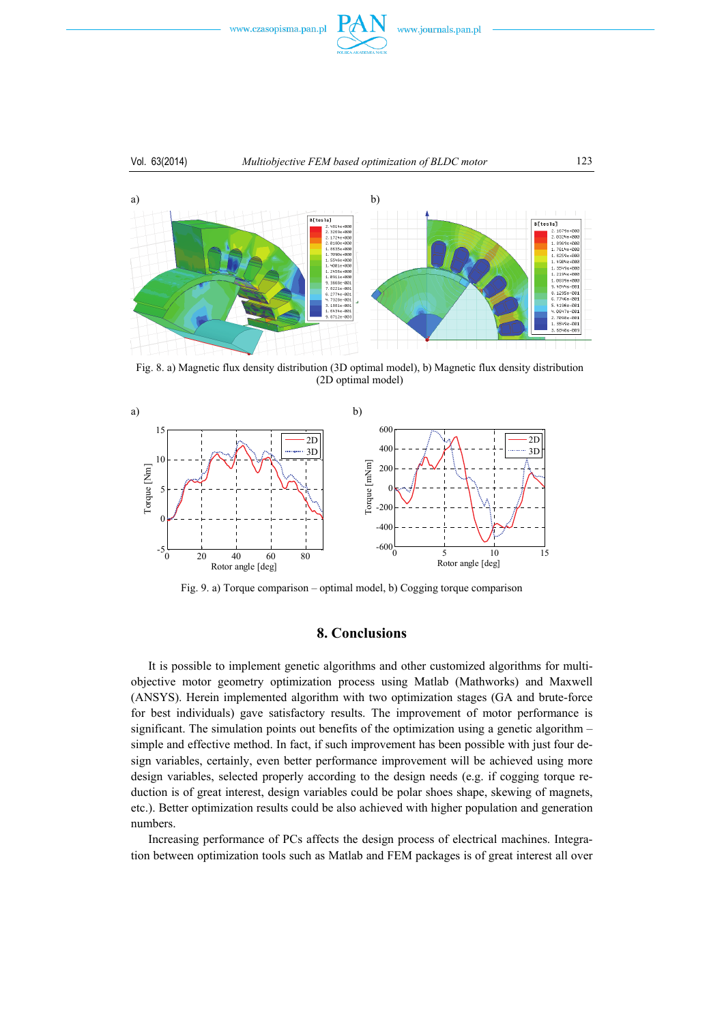

#### Vol. 63(2014) *Multiobjective FEM based optimization of BLDC motor* 123



Fig. 8. a) Magnetic flux density distribution (3D optimal model), b) Magnetic flux density distribution (2D optimal model)



Fig. 9. a) Torque comparison – optimal model, b) Cogging torque comparison

# **8. Conclusions**

 It is possible to implement genetic algorithms and other customized algorithms for multiobjective motor geometry optimization process using Matlab (Mathworks) and Maxwell (ANSYS). Herein implemented algorithm with two optimization stages (GA and brute-force for best individuals) gave satisfactory results. The improvement of motor performance is significant. The simulation points out benefits of the optimization using a genetic algorithm – simple and effective method. In fact, if such improvement has been possible with just four design variables, certainly, even better performance improvement will be achieved using more design variables, selected properly according to the design needs (e.g. if cogging torque reduction is of great interest, design variables could be polar shoes shape, skewing of magnets, etc.). Better optimization results could be also achieved with higher population and generation numbers.

 Increasing performance of PCs affects the design process of electrical machines. Integration between optimization tools such as Matlab and FEM packages is of great interest all over